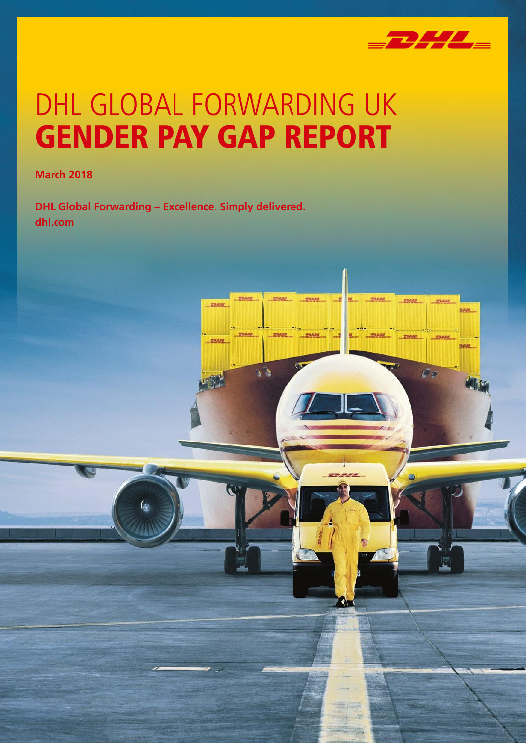

TRANT

 $\mathcal{L}_{\mathcal{L}}$ 

 $TRAI$ 

 $\sigma_{\ell}$ 

nasa

matana

# DHL GLOBAL FORWARDING UK GENDER PAY GAP REPORT

nesse

**March 2018**

**DHL Global Forwarding – Excellence. Simply delivered. dhl.com**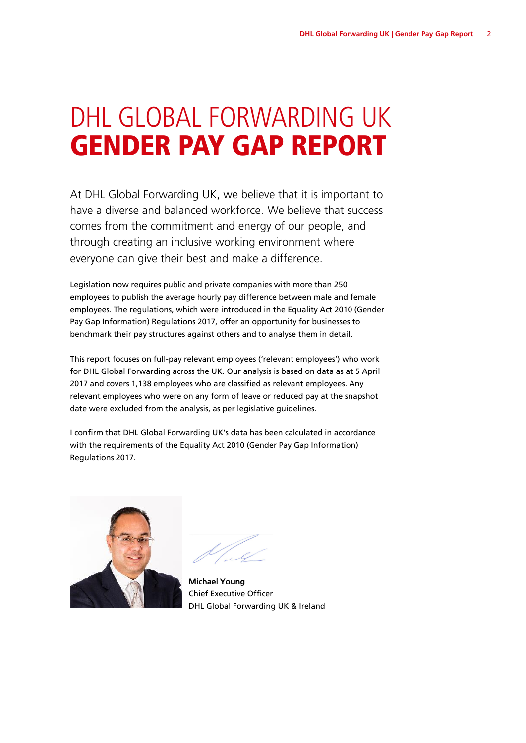## DHL GLOBAL FORWARDING UK GENDER PAY GAP REPORT

At DHL Global Forwarding UK, we believe that it is important to have a diverse and balanced workforce. We believe that success comes from the commitment and energy of our people, and through creating an inclusive working environment where everyone can give their best and make a difference.

Legislation now requires public and private companies with more than 250 employees to publish the average hourly pay difference between male and female employees. The regulations, which were introduced in the Equality Act 2010 (Gender Pay Gap Information) Regulations 2017, offer an opportunity for businesses to benchmark their pay structures against others and to analyse them in detail.

This report focuses on full-pay relevant employees ('relevant employees') who work for DHL Global Forwarding across the UK. Our analysis is based on data as at 5 April 2017 and covers 1,138 employees who are classified as relevant employees. Any relevant employees who were on any form of leave or reduced pay at the snapshot date were excluded from the analysis, as per legislative guidelines.

I confirm that DHL Global Forwarding UK's data has been calculated in accordance with the requirements of the Equality Act 2010 (Gender Pay Gap Information) Regulations 2017.



Michael Young Chief Executive Officer DHL Global Forwarding UK & Ireland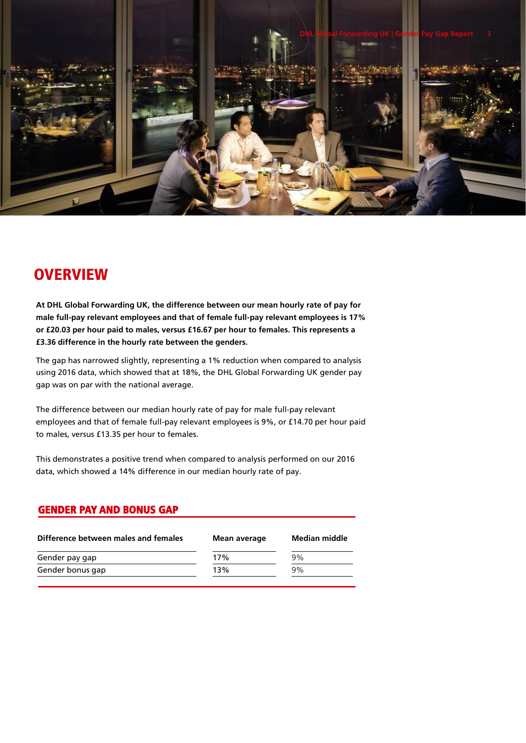

#### **OVERVIEW**

**At DHL Global Forwarding UK, the difference between our mean hourly rate of pay for male full-pay relevant employees and that of female full-pay relevant employees is 17% or £20.03 per hour paid to males, versus £16.67 per hour to females. This represents a £3.36 difference in the hourly rate between the genders.**

The gap has narrowed slightly, representing a 1% reduction when compared to analysis using 2016 data, which showed that at 18%, the DHL Global Forwarding UK gender pay gap was on par with the national average.

The difference between our median hourly rate of pay for male full-pay relevant employees and that of female full-pay relevant employees is 9%, or £14.70 per hour paid to males, versus £13.35 per hour to females.

This demonstrates a positive trend when compared to analysis performed on our 2016 data, which showed a 14% difference in our median hourly rate of pay.

#### GENDER PAY AND BONUS GAP

| Mean average | Median middle |
|--------------|---------------|
| 17%          | 9%            |
| 13%          | 9%            |
|              |               |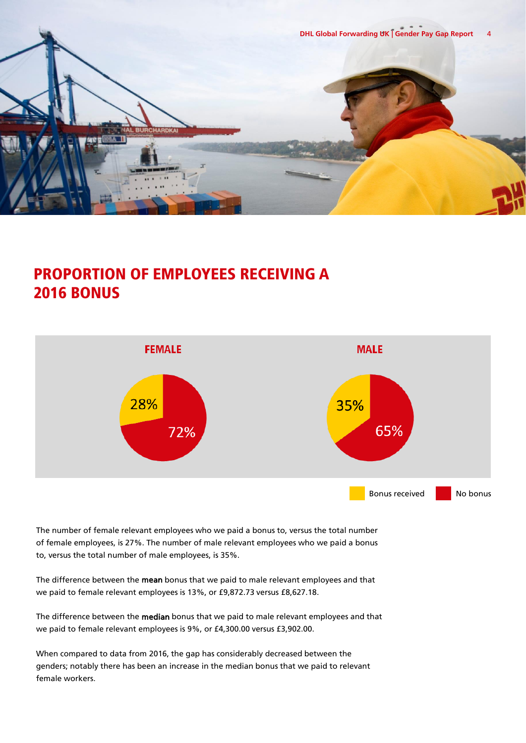

#### PROPORTION OF EMPLOYEES RECEIVING A 2016 BONUS



The number of female relevant employees who we paid a bonus to, versus the total number of female employees, is 27%. The number of male relevant employees who we paid a bonus to, versus the total number of male employees, is 35%.

The difference between the mean bonus that we paid to male relevant employees and that we paid to female relevant employees is 13%, or £9,872.73 versus £8,627.18.

The difference between the median bonus that we paid to male relevant employees and that we paid to female relevant employees is 9%, or £4,300.00 versus £3,902.00.

When compared to data from 2016, the gap has considerably decreased between the genders; notably there has been an increase in the median bonus that we paid to relevant female workers.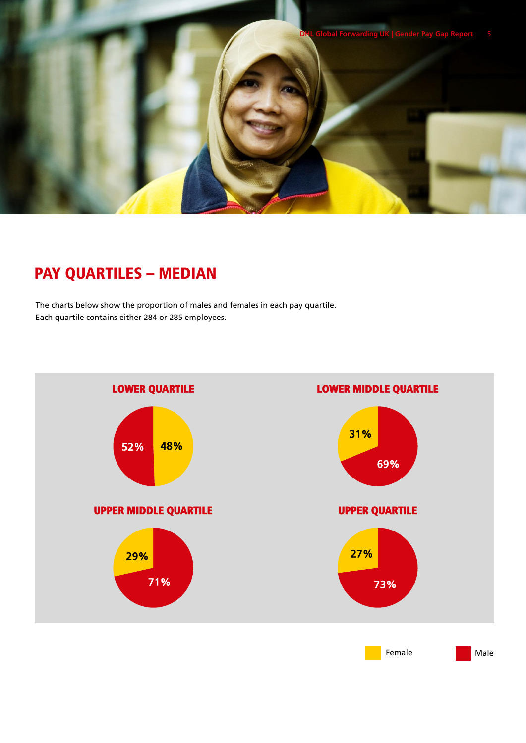

### PAY QUARTILES – MEDIAN

The charts below show the proportion of males and females in each pay quartile. Each quartile contains either 284 or 285 employees.

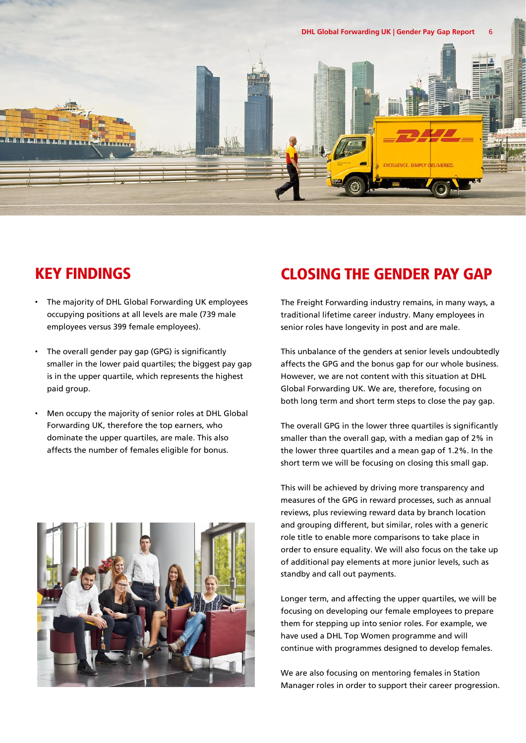

#### KEY FINDINGS

- The majority of DHL Global Forwarding UK employees occupying positions at all levels are male (739 male employees versus 399 female employees).
- The overall gender pay gap (GPG) is significantly smaller in the lower paid quartiles; the biggest pay gap is in the upper quartile, which represents the highest paid group.
- Men occupy the majority of senior roles at DHL Global Forwarding UK, therefore the top earners, who dominate the upper quartiles, are male. This also affects the number of females eligible for bonus.



#### CLOSING THE GENDER PAY GAP

The Freight Forwarding industry remains, in many ways, a traditional lifetime career industry. Many employees in senior roles have longevity in post and are male.

This unbalance of the genders at senior levels undoubtedly affects the GPG and the bonus gap for our whole business. However, we are not content with this situation at DHL Global Forwarding UK. We are, therefore, focusing on both long term and short term steps to close the pay gap.

The overall GPG in the lower three quartiles is significantly smaller than the overall gap, with a median gap of 2% in the lower three quartiles and a mean gap of 1.2%. In the short term we will be focusing on closing this small gap.

This will be achieved by driving more transparency and measures of the GPG in reward processes, such as annual reviews, plus reviewing reward data by branch location and grouping different, but similar, roles with a generic role title to enable more comparisons to take place in order to ensure equality. We will also focus on the take up of additional pay elements at more junior levels, such as standby and call out payments.

Longer term, and affecting the upper quartiles, we will be focusing on developing our female employees to prepare them for stepping up into senior roles. For example, we have used a DHL Top Women programme and will continue with programmes designed to develop females.

We are also focusing on mentoring females in Station Manager roles in order to support their career progression.